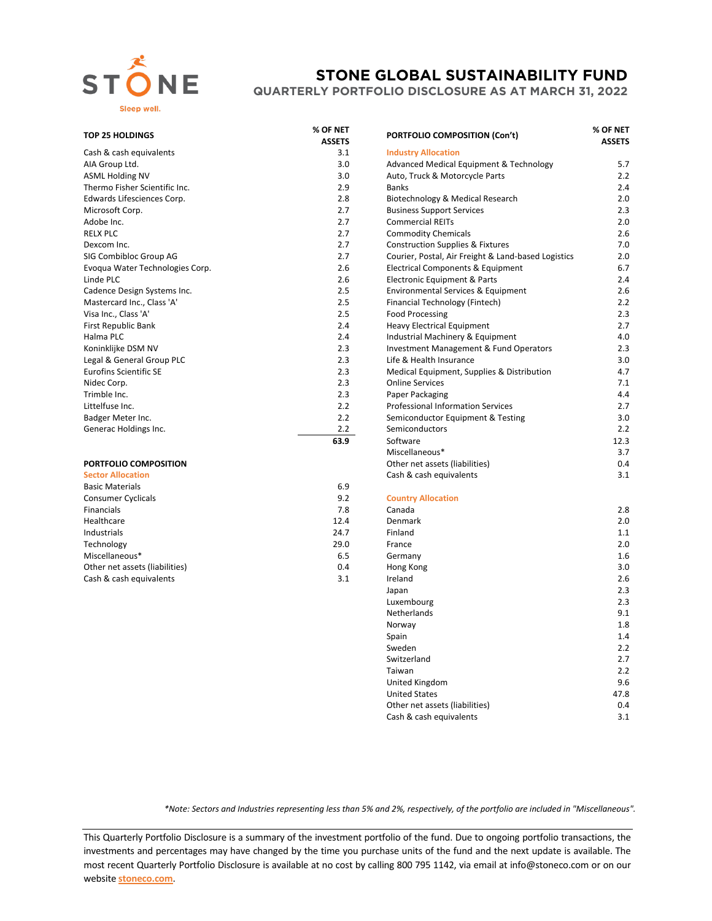

## **STONE GLOBAL SUSTAINABILITY FUND**

**QUARTERLY PORTFOLIO DISCLOSURE AS AT MARCH 31, 2022**

## **TOP 25 HOLDINGS % OF NET**

|                                 | ASSLIS |                                                     | ASSETS |
|---------------------------------|--------|-----------------------------------------------------|--------|
| Cash & cash equivalents         | 3.1    | <b>Industry Allocation</b>                          |        |
| AIA Group Ltd.                  | 3.0    | <b>Advanced Medical Equipment &amp; Technology</b>  | 5.7    |
| <b>ASML Holding NV</b>          | 3.0    | Auto, Truck & Motorcycle Parts                      | 2.2    |
| Thermo Fisher Scientific Inc.   | 2.9    | <b>Banks</b>                                        | 2.4    |
| Edwards Lifesciences Corp.      | 2.8    | Biotechnology & Medical Research                    | 2.0    |
| Microsoft Corp.                 | 2.7    | <b>Business Support Services</b>                    | 2.3    |
| Adobe Inc.                      | 2.7    | <b>Commercial REITs</b>                             | 2.0    |
| <b>RELX PLC</b>                 | 2.7    | <b>Commodity Chemicals</b>                          | 2.6    |
| Dexcom Inc.                     | 2.7    | <b>Construction Supplies &amp; Fixtures</b>         | 7.0    |
| SIG Combibloc Group AG          | 2.7    | Courier, Postal, Air Freight & Land-based Logistics | 2.0    |
| Evoqua Water Technologies Corp. | 2.6    | Electrical Components & Equipment                   | 6.7    |
| Linde PLC                       | 2.6    | Electronic Equipment & Parts                        | 2.4    |
| Cadence Design Systems Inc.     | 2.5    | Environmental Services & Equipment                  | 2.6    |
| Mastercard Inc., Class 'A'      | 2.5    | Financial Technology (Fintech)                      | 2.2    |
| Visa Inc., Class 'A'            | 2.5    | <b>Food Processing</b>                              | 2.3    |
| First Republic Bank             | 2.4    | <b>Heavy Electrical Equipment</b>                   | 2.7    |
| Halma PLC                       | 2.4    | Industrial Machinery & Equipment                    | 4.0    |
| Koninklijke DSM NV              | 2.3    | Investment Management & Fund Operators              | 2.3    |
| Legal & General Group PLC       | 2.3    | Life & Health Insurance                             | 3.0    |
| <b>Eurofins Scientific SE</b>   | 2.3    | Medical Equipment, Supplies & Distribution          | 4.7    |
| Nidec Corp.                     | 2.3    | <b>Online Services</b>                              | 7.1    |
| Trimble Inc.                    | 2.3    | Paper Packaging                                     | 4.4    |
| Littelfuse Inc.                 | 2.2    | <b>Professional Information Services</b>            | 2.7    |
| Badger Meter Inc.               | 2.2    | Semiconductor Equipment & Testing                   | 3.0    |
| Generac Holdings Inc.           | 2.2    | Semiconductors                                      | 2.2    |
|                                 | $\sim$ |                                                     | 122    |

## **PORTFOLIO COMPOSITION**

| <b>Sector Allocation</b>       |      | Cash & cash equivalents   | 3.1 |
|--------------------------------|------|---------------------------|-----|
| <b>Basic Materials</b>         | 6.9  |                           |     |
| <b>Consumer Cyclicals</b>      | 9.2  | <b>Country Allocation</b> |     |
| Financials                     | 7.8  | Canada                    | 2.8 |
| Healthcare                     | 12.4 | Denmark                   | 2.0 |
| Industrials                    | 24.7 | Finland                   | 1.1 |
| Technology                     | 29.0 | France                    | 2.0 |
| Miscellaneous*                 | 6.5  | Germany                   | 1.6 |
| Other net assets (liabilities) | 0.4  | Hong Kong                 | 3.0 |
| Cash & cash equivalents        | 3.1  | Ireland                   | 2.6 |
|                                |      |                           |     |

| OF NET<br><b>ASSETS</b> | <b>PORTFOLIO COMPOSITION (Con't)</b>                |      |
|-------------------------|-----------------------------------------------------|------|
| 3.1                     | <b>Industry Allocation</b>                          |      |
| 3.0                     | <b>Advanced Medical Equipment &amp; Technology</b>  | 5.7  |
| 3.0                     | Auto, Truck & Motorcycle Parts                      | 2.2  |
| 2.9                     | <b>Banks</b>                                        | 2.4  |
| 2.8                     | Biotechnology & Medical Research                    | 2.0  |
| 2.7                     | <b>Business Support Services</b>                    | 2.3  |
| 2.7                     | <b>Commercial REITs</b>                             | 2.0  |
| 2.7                     | <b>Commodity Chemicals</b>                          | 2.6  |
| 2.7                     | <b>Construction Supplies &amp; Fixtures</b>         | 7.0  |
| 2.7                     | Courier, Postal, Air Freight & Land-based Logistics | 2.0  |
| 2.6                     | <b>Electrical Components &amp; Equipment</b>        | 6.7  |
| 2.6                     | Electronic Equipment & Parts                        | 2.4  |
| 2.5                     | Environmental Services & Equipment                  | 2.6  |
| 2.5                     | Financial Technology (Fintech)                      | 2.2  |
| 2.5                     | <b>Food Processing</b>                              | 2.3  |
| 2.4                     | <b>Heavy Electrical Equipment</b>                   | 2.7  |
| 2.4                     | Industrial Machinery & Equipment                    | 4.0  |
| 2.3                     | <b>Investment Management &amp; Fund Operators</b>   | 2.3  |
| 2.3                     | Life & Health Insurance                             | 3.0  |
| 2.3                     | Medical Equipment, Supplies & Distribution          | 4.7  |
| 2.3                     | <b>Online Services</b>                              | 7.1  |
| 2.3                     | Paper Packaging                                     | 4.4  |
| 2.2                     | <b>Professional Information Services</b>            | 2.7  |
| 2.2                     | Semiconductor Equipment & Testing                   | 3.0  |
| 2.2                     | Semiconductors                                      | 2.2  |
| 63.9                    | Software                                            | 12.3 |
|                         | Miscellaneous*                                      | 3.7  |
|                         | Other net assets (liabilities)                      | 0.4  |
|                         | Cash & cash equivalents                             | 3.1  |
| 6.9                     |                                                     |      |
| 9.2                     | <b>Country Allocation</b>                           |      |
| 7.8                     | Canada                                              | 2.8  |
| 12.4                    | Denmark                                             | 2.0  |
| 24.7                    | Finland                                             | 1.1  |
| 29.0                    | France                                              | 2.0  |
| 6.5                     | Germany                                             | 1.6  |
| 0.4                     | Hong Kong                                           | 3.0  |
| 3.1                     | Ireland                                             | 2.6  |
|                         | Japan                                               | 2.3  |
|                         | Luxembourg                                          | 2.3  |
|                         | Netherlands                                         | 9.1  |
|                         | Norway                                              | 1.8  |
|                         | Spain                                               | 1.4  |
|                         | Sweden                                              | 2.2  |
|                         | Switzerland                                         | 2.7  |
|                         | Taiwan                                              | 2.2  |
|                         | United Kingdom                                      | 9.6  |
|                         | <b>United States</b>                                | 47.8 |
|                         | Other net assets (liabilities)                      | 0.4  |
|                         | Cash & cash equivalents                             | 3.1  |

*\*Note: Sectors and Industries representing less than 5% and 2%, respectively, of the portfolio are included in "Miscellaneous".*

This Quarterly Portfolio Disclosure is a summary of the investment portfolio of the fund. Due to ongoing portfolio transactions, the investments and percentages may have changed by the time you purchase units of the fund and the next update is available. The most recent Quarterly Portfolio Disclosure is available at no cost by calling 800 795 1142, via email at info@stoneco.com or on our website **[stoneco.com](http://www.stoneco.com/)**.